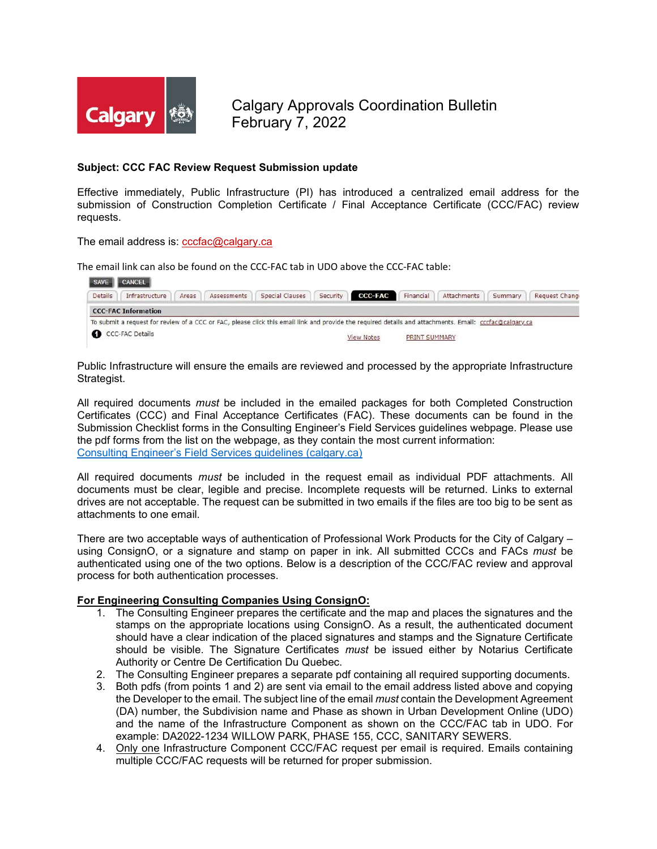

Calgary Approvals Coordination Bulletin February 7, 2022

## **Subject: CCC FAC Review Request Submission update**

Effective immediately, Public Infrastructure (PI) has introduced a centralized email address for the submission of Construction Completion Certificate / Final Acceptance Certificate (CCC/FAC) review requests.

The email address is: [cccfac@calgary.ca](mailto:cccfac@calgary.ca)

The email link can also be found on the CCC-FAC tab in UDO above the CCC-FAC table:

|                | SAVE CANCEL                                                                                                                                             |       |             |                        |                   |                  |               |             |         |                |
|----------------|---------------------------------------------------------------------------------------------------------------------------------------------------------|-------|-------------|------------------------|-------------------|------------------|---------------|-------------|---------|----------------|
| <b>Details</b> | Infrastructure                                                                                                                                          | Areas | Assessments | <b>Special Clauses</b> |                   | Security CCC-FAC | Financial     | Attachments | Summary | Request Change |
|                | <b>CCC-FAC Information</b>                                                                                                                              |       |             |                        |                   |                  |               |             |         |                |
|                | To submit a request for review of a CCC or FAC, please click this email link and provide the required details and attachments. Email: cccfac@calgary.ca |       |             |                        |                   |                  |               |             |         |                |
|                | CCC-FAC Details                                                                                                                                         |       |             |                        | <b>View Notes</b> |                  | PRINT SUMMARY |             |         |                |

Public Infrastructure will ensure the emails are reviewed and processed by the appropriate Infrastructure Strategist.

All required documents *must* be included in the emailed packages for both Completed Construction Certificates (CCC) and Final Acceptance Certificates (FAC). These documents can be found in the Submission Checklist forms in the Consulting Engineer's Field Services guidelines webpage. Please use the pdf forms from the list on the webpage, as they contain the most current information: [Consulting Engineer's Field Services guidelines \(calgary.ca\)](https://www.calgary.ca/pda/pd/urban-development/consulting-engineers-field-services-guide.html)

All required documents *must* be included in the request email as individual PDF attachments. All documents must be clear, legible and precise. Incomplete requests will be returned. Links to external drives are not acceptable. The request can be submitted in two emails if the files are too big to be sent as attachments to one email.

There are two acceptable ways of authentication of Professional Work Products for the City of Calgary – using ConsignO, or a signature and stamp on paper in ink. All submitted CCCs and FACs *must* be authenticated using one of the two options. Below is a description of the CCC/FAC review and approval process for both authentication processes.

## **For Engineering Consulting Companies Using ConsignO:**

- 1. The Consulting Engineer prepares the certificate and the map and places the signatures and the stamps on the appropriate locations using ConsignO. As a result, the authenticated document should have a clear indication of the placed signatures and stamps and the Signature Certificate should be visible. The Signature Certificates *must* be issued either by Notarius Certificate Authority or Centre De Certification Du Quebec.
- 2. The Consulting Engineer prepares a separate pdf containing all required supporting documents.
- 3. Both pdfs (from points 1 and 2) are sent via email to the email address listed above and copying the Developer to the email. The subject line of the email *must* contain the Development Agreement (DA) number, the Subdivision name and Phase as shown in Urban Development Online (UDO) and the name of the Infrastructure Component as shown on the CCC/FAC tab in UDO. For example: DA2022-1234 WILLOW PARK, PHASE 155, CCC, SANITARY SEWERS.
- 4. Only one Infrastructure Component CCC/FAC request per email is required. Emails containing multiple CCC/FAC requests will be returned for proper submission.